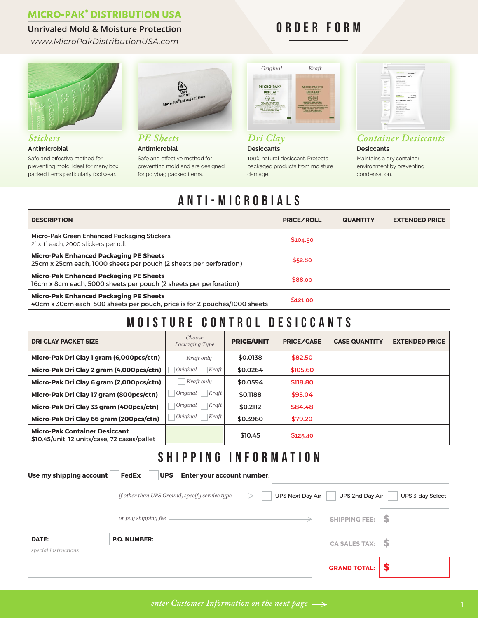### **MICRO-PAK<sup>®</sup> DISTRIBUTION USA**

#### **Unrivaled Mold & Moisture Protection**

*www.MicroPakDistributionUSA.com*



#### *Stickers* **Antimicrobial**

Safe and effective method for preventing mold. Ideal for many box packed items particularly footwear.



*PE Sheets* **Antimicrobial** Safe and effective method for preventing mold and are designed for polybag packed items.

| Original                                                                                                                                                                                                                                                                                                                                                                                  | Kraft                                                                                                                                                                                                                                                                                                                                           |  |  |
|-------------------------------------------------------------------------------------------------------------------------------------------------------------------------------------------------------------------------------------------------------------------------------------------------------------------------------------------------------------------------------------------|-------------------------------------------------------------------------------------------------------------------------------------------------------------------------------------------------------------------------------------------------------------------------------------------------------------------------------------------------|--|--|
| <b>MICRO-PAK®</b><br>www.micropakitd.com<br><b>DRI CLAY</b><br><b>MONTLEE CONTROL</b><br>$\frac{1}{2}$<br>NON TOOC, 100% NATURAL<br><b>JOSEPH JOAN FREE JOURN</b><br>MARNING: Designed De Rot Eat, Originalisated Ne Pas.<br>Manager Tenckenmitted Nicht Expen, Gesprante für Comany<br><b>RIGH A-GENERAL STANDARDS</b><br>infolio are small wares, were an<br>MADE BECAUSE MACRO BAKETIN | MICRO-PAK LTD.<br>www.micropaldid.com<br><b>HENTS BE CONTROL</b><br>NON TORK, 100% NATURAL<br><b>JOSEPH ATENT FREE WINDS</b><br>presented thankstock by him this Calcibushopers had find<br>Miriga: Stadestrobel Volv Ford, Stampron He Coned.<br><b>WAN SHAKERA VARYOORS</b><br>bibly or and you, even.<br><b>MATERIAL PARAS ANTIQUADE TRU</b> |  |  |

ORDER FORM

*Dri Clay* **Desiccants**

100% natural desiccant. Protects packaged products from moisture damage.



### *Container Desiccants*

**Desiccants**

Maintains a dry container environment by preventing condensation.

# ANTI-MICROBIALS

| <b>DESCRIPTION</b>                                                                                                          | <b>PRICE/ROLL</b> | <b>QUANTITY</b> | <b>EXTENDED PRICE</b> |
|-----------------------------------------------------------------------------------------------------------------------------|-------------------|-----------------|-----------------------|
| Micro-Pak Green Enhanced Packaging Stickers<br>2" x 1" each, 2000 stickers per roll                                         | \$104.50          |                 |                       |
| <b>Micro-Pak Enhanced Packaging PE Sheets</b><br>25cm x 25cm each, 1000 sheets per pouch (2 sheets per perforation)         | \$52.80           |                 |                       |
| <b>Micro-Pak Enhanced Packaging PE Sheets</b><br>16cm x 8cm each, 5000 sheets per pouch (2 sheets per perforation)          | \$88,00           |                 |                       |
| <b>Micro-Pak Enhanced Packaging PE Sheets</b><br>40cm x 30cm each, 500 sheets per pouch, price is for 2 pouches/1000 sheets | \$121.00          |                 |                       |

# MOISTURE CONTROL DESICCANTS

| <b>DRI CLAY PACKET SIZE</b>                                                          | Choose<br>Packaging Type | <b>PRICE/UNIT</b> | <b>PRICE/CASE</b> | <b>CASE QUANTITY</b> | <b>EXTENDED PRICE</b> |
|--------------------------------------------------------------------------------------|--------------------------|-------------------|-------------------|----------------------|-----------------------|
| Micro-Pak Dri Clay 1 gram (6,000pcs/ctn)                                             | Kraft only               | \$0.0138          | \$82.50           |                      |                       |
| Micro-Pak Dri Clay 2 gram (4,000pcs/ctn)                                             | Original<br>Kraft        | \$0.0264          | \$105.60          |                      |                       |
| Micro-Pak Dri Clay 6 gram (2,000pcs/ctn)                                             | Kraft only               | \$0.0594          | \$118.80          |                      |                       |
| Micro-Pak Dri Clay 17 gram (800pcs/ctn)                                              | Original<br>Kraft        | \$0.1188          | \$95.04           |                      |                       |
| Micro-Pak Dri Clay 33 gram (400pcs/ctn)                                              | Original<br>Kraft        | \$0.2112          | \$84.48           |                      |                       |
| Micro-Pak Dri Clay 66 gram (200pcs/ctn)                                              | Original<br>Kraft        | \$0.3960          | \$79.20           |                      |                       |
| <b>Micro-Pak Container Desiccant</b><br>\$10.45/unit, 12 units/case, 72 cases/pallet |                          | \$10.45           | \$125.40          |                      |                       |

### SHIPPING INFORMATION

| Use my shipping account | FedEx<br><b>Enter your account number:</b><br><b>UPS</b>                             |                      |                  |
|-------------------------|--------------------------------------------------------------------------------------|----------------------|------------------|
|                         | if other than UPS Ground, specify service type $\longrightarrow$<br>UPS Next Day Air | UPS 2nd Day Air      | UPS 3-day Select |
|                         | or pay shipping fee                                                                  | <b>SHIPPING FEE:</b> | S                |
| DATE:                   | <b>P.O. NUMBER:</b>                                                                  | <b>CA SALES TAX:</b> | \$               |
| special instructions    |                                                                                      |                      |                  |
|                         |                                                                                      | <b>GRAND TOTAL:</b>  | S                |